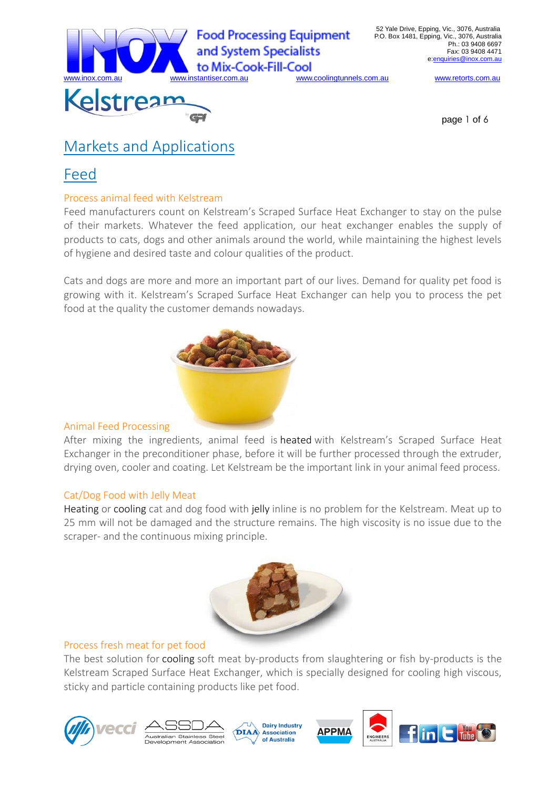

w.coolingtunnels.com.au www.retorts.com.au

page 1 of 6

# Markets and Applications

# Feed

# Process animal feed with Kelstream

Feed manufacturers count on Kelstream's Scraped Surface Heat Exchanger to stay on the pulse of their markets. Whatever the feed application, our heat exchanger enables the supply of products to cats, dogs and other animals around the world, while maintaining the highest levels of hygiene and desired taste and colour qualities of the product.

Cats and dogs are more and more an important part of our lives. Demand for quality pet food is growing with it. Kelstream's Scraped Surface Heat Exchanger can help you to process the pet food at the quality the customer demands nowadays.



# Animal Feed Processing

After mixing the ingredients, animal feed is heated with Kelstream's Scraped Surface Heat Exchanger in the preconditioner phase, before it will be further processed through the extruder, drying oven, cooler and coating. Let Kelstream be the important link in your animal feed process.

# Cat/Dog Food with Jelly Meat

Heating or cooling cat and dog food with jelly inline is no problem for the Kelstream. Meat up to 25 mm will not be damaged and the structure remains. The high viscosity is no issue due to the scraper- and the continuous mixing principle.



# Process fresh meat for pet food

The best solution for cooling soft meat by-products from slaughtering or fish by-products is the Kelstream Scraped Surface Heat Exchanger, which is specially designed for cooling high viscous, sticky and particle containing products like pet food.







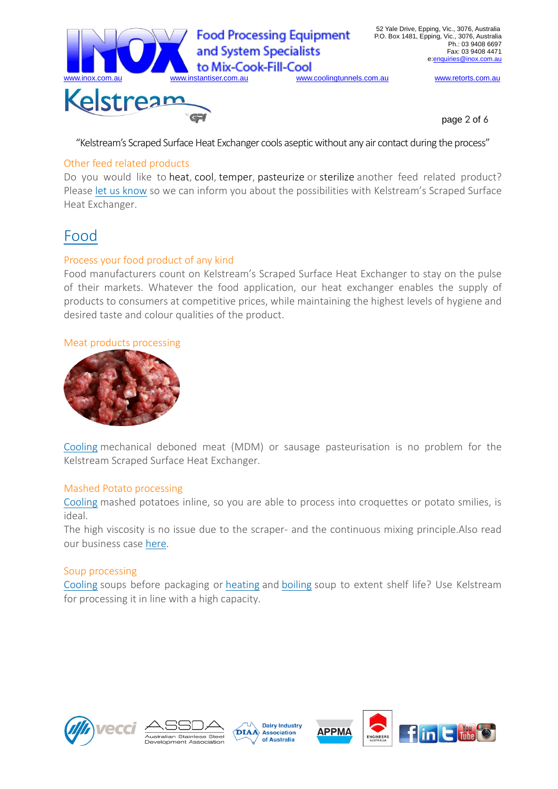

page 2 of 6

"Kelstream's Scraped Surface Heat Exchanger cools aseptic without any air contact during the process"

## Other feed related products

Do you would like to heat, cool, temper, pasteurize or sterilize another feed related product? Please let us know so we can inform you about the possibilities with Kelstream's Scraped Surface Heat Exchanger.

# Food

# Process your food product of any kind

Food manufacturers count on Kelstream's Scraped Surface Heat Exchanger to stay on the pulse of their markets. Whatever the food application, our heat exchanger enables the supply of products to consumers at competitive prices, while maintaining the highest levels of hygiene and desired taste and colour qualities of the product.

#### Meat products processing



Cooling mechanical deboned meat (MDM) or sausage pasteurisation is no problem for the Kelstream Scraped Surface Heat Exchanger.

## Mashed Potato processing

Cooling mashed potatoes inline, so you are able to process into croquettes or potato smilies, is ideal.

The high viscosity is no issue due to the scraper- and the continuous mixing principle.Also read our business case here.

## Soup processing

Cooling soups before packaging or heating and boiling soup to extent shelf life? Use Kelstream for processing it in line with a high capacity.





**Dairy Industry DIAA** Association of Australia

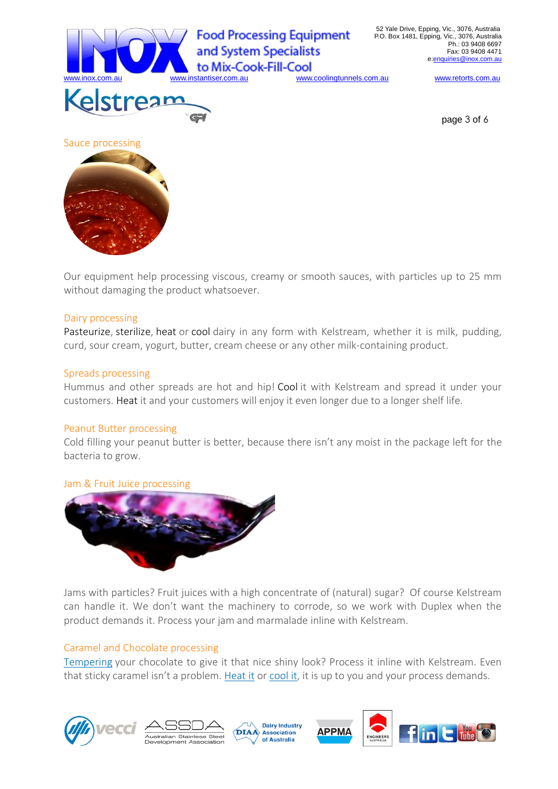

ww.coolingtunnels.com.au www.retorts.com.au

page 3 of 6



#### Dairy processing

Pasteurize, sterilize, heat or cool dairy in any form with Kelstream, whether it is milk, pudding, curd, sour cream, yogurt, butter, cream cheese or any other milk-containing product.

#### Spreads processing

Hummus and other spreads are hot and hip! Cool it with Kelstream and spread it under your customers. Heat it and your customers will enjoy it even longer due to a longer shelf life.

#### Peanut Butter processing

Cold filling your peanut butter is better, because there isn't any moist in the package left for the bacteria to grow.

## Jam & Fruit Juice processing



Jams with particles? Fruit juices with a high concentrate of (natural) sugar? Of course Kelstream can handle it. We don't want the machinery to corrode, so we work with Duplex when the product demands it. Process your jam and marmalade inline with Kelstream.

## Caramel and Chocolate processing

Tempering your chocolate to give it that nice shiny look? Process it inline with Kelstream. Even that sticky caramel isn't a problem. Heat it or cool it, it is up to you and your process demands.





**Dairy Industry DIAA** Association of Australia

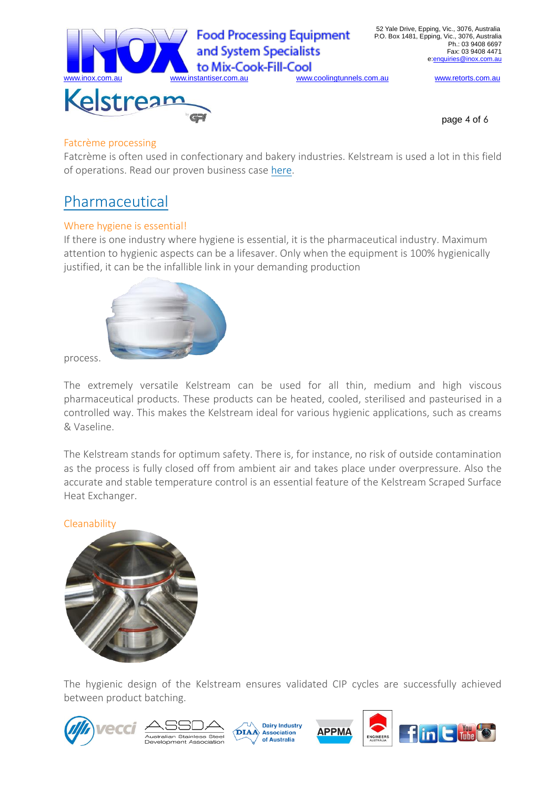

page 4 of 6

## Fatcrème processing

Fatcrème is often used in confectionary and bakery industries. Kelstream is used a lot in this field of operations. Read our proven business case here.

# Pharmaceutical

# Where hygiene is essential!

If there is one industry where hygiene is essential, it is the pharmaceutical industry. Maximum attention to hygienic aspects can be a lifesaver. Only when the equipment is 100% hygienically justified, it can be the infallible link in your demanding production



process.

The extremely versatile Kelstream can be used for all thin, medium and high viscous pharmaceutical products. These products can be heated, cooled, sterilised and pasteurised in a controlled way. This makes the Kelstream ideal for various hygienic applications, such as creams & Vaseline.

The Kelstream stands for optimum safety. There is, for instance, no risk of outside contamination as the process is fully closed off from ambient air and takes place under overpressure. Also the accurate and stable temperature control is an essential feature of the Kelstream Scraped Surface Heat Exchanger.

# **Cleanability**



The hygienic design of the Kelstream ensures validated CIP cycles are successfully achieved between product batching.







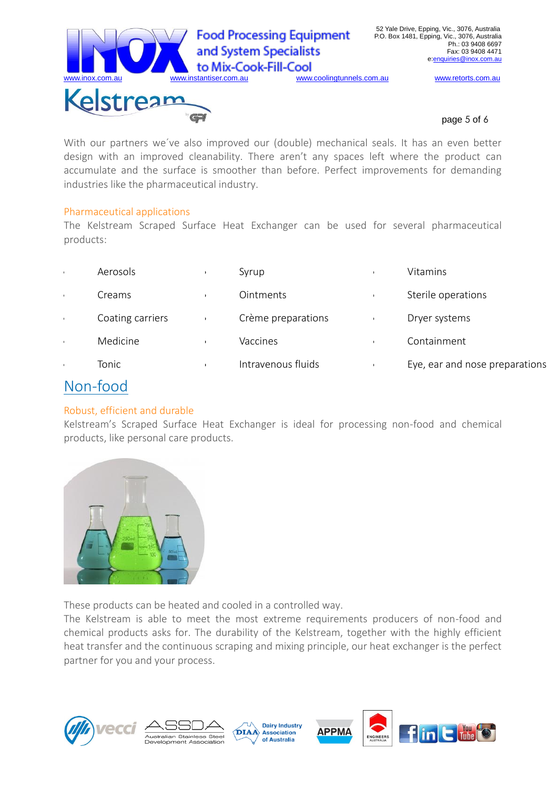

#### page 5 of 6

With our partners we´ve also improved our (double) mechanical seals. It has an even better design with an improved cleanability. There aren't any spaces left where the product can accumulate and the surface is smoother than before. Perfect improvements for demanding industries like the pharmaceutical industry.

## Pharmaceutical applications

The Kelstream Scraped Surface Heat Exchanger can be used for several pharmaceutical products:

| Aerosols         | Syrup              | Vitamins                       |
|------------------|--------------------|--------------------------------|
| Creams           | Ointments          | Sterile operations             |
| Coating carriers | Crème preparations | Dryer systems                  |
| Medicine         | Vaccines           | Containment                    |
| Tonic            | Intravenous fluids | Eye, ear and nose preparations |

# Non-food

# Robust, efficient and durable

Kelstream's Scraped Surface Heat Exchanger is ideal for processing non-food and chemical products, like personal care products.



These products can be heated and cooled in a controlled way.

The Kelstream is able to meet the most extreme requirements producers of non-food and chemical products asks for. The durability of the Kelstream, together with the highly efficient heat transfer and the continuous scraping and mixing principle, our heat exchanger is the perfect partner for you and your process.





**Dairy Industry** DIAA Association of Australia